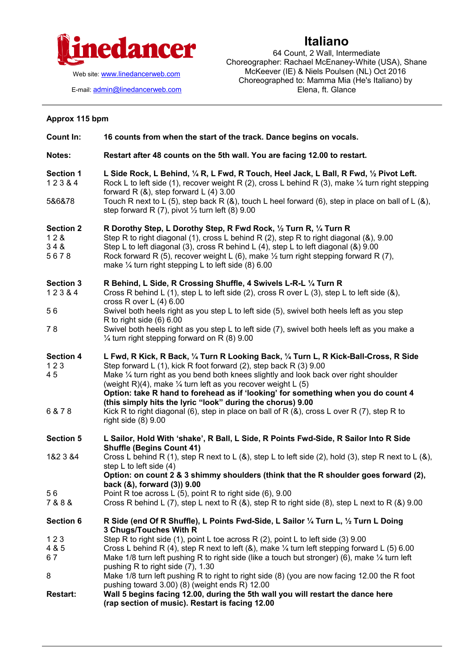

Web site: [www.linedancerweb.com](http://www.linedancermagazine.com/)

E-mail: [admin@linedancerweb.com](mailto:admin@linedancerweb.com)

## **Italiano**

64 Count, 2 Wall, Intermediate Choreographer: Rachael McEnaney-White (USA), Shane McKeever (IE) & Niels Poulsen (NL) Oct 2016 Choreographed to: Mamma Mia (He's Italiano) by Elena, ft. Glance

## **Approx 115 bpm**

| <b>Count In:</b>                       | 16 counts from when the start of the track. Dance begins on vocals.                                                                                                                                                                                                                                                                                                                                                                                                               |
|----------------------------------------|-----------------------------------------------------------------------------------------------------------------------------------------------------------------------------------------------------------------------------------------------------------------------------------------------------------------------------------------------------------------------------------------------------------------------------------------------------------------------------------|
| Notes:                                 | Restart after 48 counts on the 5th wall. You are facing 12.00 to restart.                                                                                                                                                                                                                                                                                                                                                                                                         |
| <b>Section 1</b><br>123&4              | L Side Rock, L Behind, 1/4 R, L Fwd, R Touch, Heel Jack, L Ball, R Fwd, 1/2 Pivot Left.<br>Rock L to left side (1), recover weight R (2), cross L behind R (3), make $\frac{1}{4}$ turn right stepping<br>forward R $(8)$ , step forward L $(4)$ 3.00                                                                                                                                                                                                                             |
| 5&6&78                                 | Touch R next to L (5), step back R (&), touch L heel forward (6), step in place on ball of L (&),<br>step forward R $(7)$ , pivot $\frac{1}{2}$ turn left $(8)$ 9.00                                                                                                                                                                                                                                                                                                              |
| <b>Section 2</b><br>12&<br>348<br>5678 | R Dorothy Step, L Dorothy Step, R Fwd Rock, 1/2 Turn R, 1/4 Turn R<br>Step R to right diagonal (1), cross L behind R (2), step R to right diagonal (&), 9.00<br>Step L to left diagonal (3), cross R behind L (4), step L to left diagonal (&) 9.00<br>Rock forward R (5), recover weight L (6), make $\frac{1}{2}$ turn right stepping forward R (7),<br>make $\frac{1}{4}$ turn right stepping L to left side (8) 6.00                                                          |
| <b>Section 3</b><br>12384              | R Behind, L Side, R Crossing Shuffle, 4 Swivels L-R-L 1/4 Turn R<br>Cross R behind L (1), step L to left side (2), cross R over L (3), step L to left side (8),<br>cross R over L $(4)$ 6.00                                                                                                                                                                                                                                                                                      |
| 56                                     | Swivel both heels right as you step $L$ to left side (5), swivel both heels left as you step<br>R to right side $(6)$ 6.00                                                                                                                                                                                                                                                                                                                                                        |
| 78                                     | Swivel both heels right as you step L to left side (7), swivel both heels left as you make a<br>$\frac{1}{4}$ turn right stepping forward on R (8) 9.00                                                                                                                                                                                                                                                                                                                           |
| <b>Section 4</b><br>123<br>45          | L Fwd, R Kick, R Back, 1/4 Turn R Looking Back, 1/4 Turn L, R Kick-Ball-Cross, R Side<br>Step forward L (1), kick R foot forward (2), step back R (3) 9.00<br>Make 1/4 turn right as you bend both knees slightly and look back over right shoulder<br>(weight R)(4), make $\frac{1}{4}$ turn left as you recover weight L (5)<br>Option: take R hand to forehead as if 'looking' for something when you do count 4<br>(this simply hits the lyric "look" during the chorus) 9.00 |
| 6 & 7 8                                | Kick R to right diagonal (6), step in place on ball of R $(8)$ , cross L over R $(7)$ , step R to<br>right side $(8)$ 9.00                                                                                                                                                                                                                                                                                                                                                        |
| <b>Section 5</b>                       | L Sailor, Hold With 'shake', R Ball, L Side, R Points Fwd-Side, R Sailor Into R Side<br><b>Shuffle (Begins Count 41)</b>                                                                                                                                                                                                                                                                                                                                                          |
| 1&2 3 &4                               | Cross L behind R (1), step R next to L (&), step L to left side (2), hold (3), step R next to L (&),<br>step $L$ to left side $(4)$                                                                                                                                                                                                                                                                                                                                               |
|                                        | Option: on count 2 & 3 shimmy shoulders (think that the R shoulder goes forward (2),<br>back (&), forward (3)) 9.00                                                                                                                                                                                                                                                                                                                                                               |
| 56<br>7 & 8 &                          | Point R toe across L (5), point R to right side (6), 9.00<br>Cross R behind L (7), step L next to R (&), step R to right side (8), step L next to R (&) 9.00                                                                                                                                                                                                                                                                                                                      |
| <b>Section 6</b>                       | R Side (end Of R Shuffle), L Points Fwd-Side, L Sailor 1/4 Turn L, 1/2 Turn L Doing<br>3 Chugs/Touches With R                                                                                                                                                                                                                                                                                                                                                                     |
| 123<br>4 & 5<br>67                     | Step R to right side (1), point L toe across R (2), point L to left side (3) 9.00<br>Cross L behind R (4), step R next to left (&), make $\frac{1}{4}$ turn left stepping forward L (5) 6.00<br>Make 1/8 turn left pushing R to right side (like a touch but stronger) (6), make 1/4 turn left<br>pushing R to right side (7), 1.30                                                                                                                                               |
| 8                                      | Make 1/8 turn left pushing R to right to right side (8) (you are now facing 12.00 the R foot<br>pushing toward 3.00) (8) (weight ends R) 12.00                                                                                                                                                                                                                                                                                                                                    |
| <b>Restart:</b>                        | Wall 5 begins facing 12.00, during the 5th wall you will restart the dance here<br>(rap section of music). Restart is facing 12.00                                                                                                                                                                                                                                                                                                                                                |